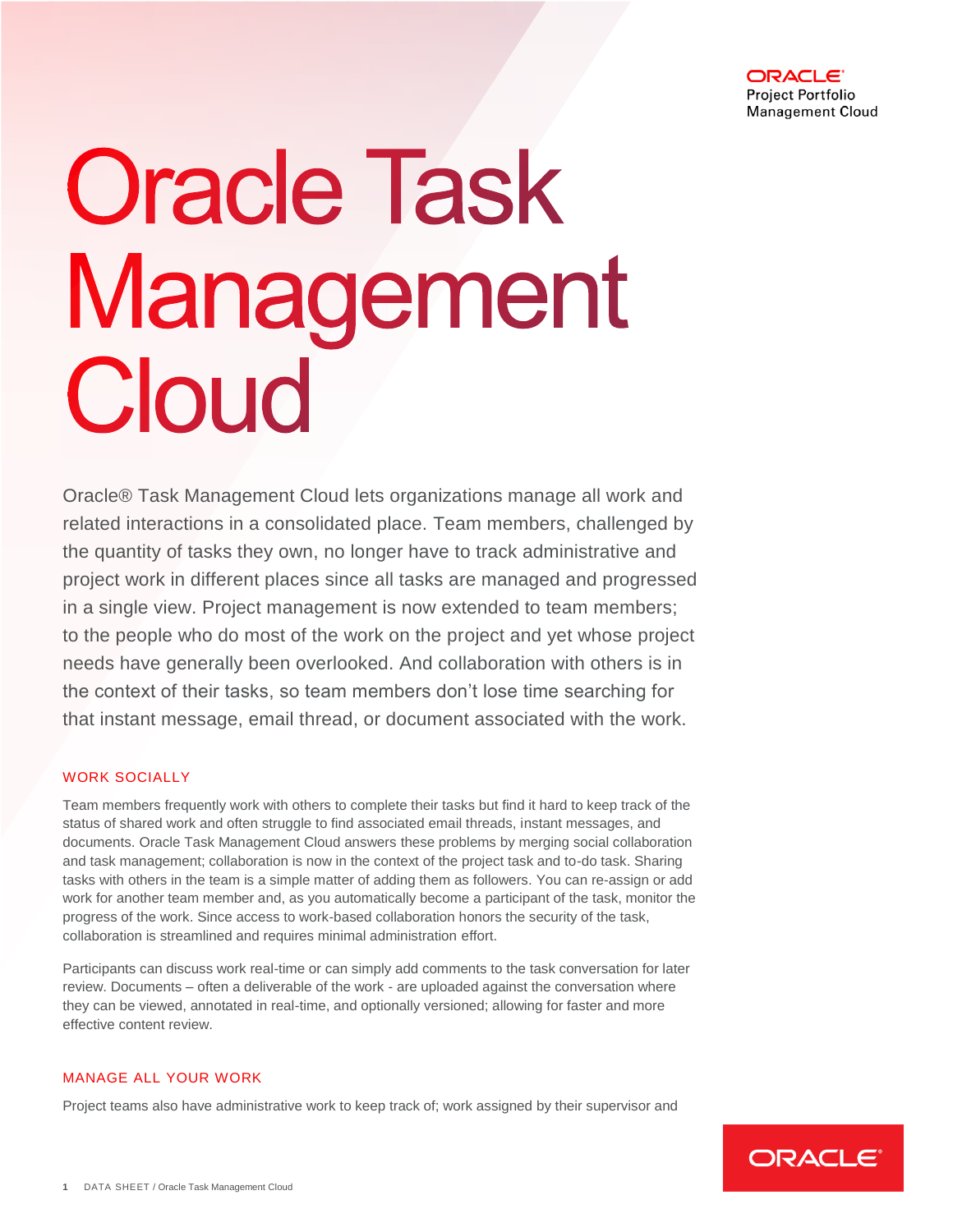

# **Oracle Task** Management Cloud

Oracle® Task Management Cloud lets organizations manage all work and related interactions in a consolidated place. Team members, challenged by the quantity of tasks they own, no longer have to track administrative and project work in different places since all tasks are managed and progressed in a single view. Project management is now extended to team members; to the people who do most of the work on the project and yet whose project needs have generally been overlooked. And collaboration with others is in the context of their tasks, so team members don't lose time searching for that instant message, email thread, or document associated with the work.

#### WORK SOCIALLY

Team members frequently work with others to complete their tasks but find it hard to keep track of the status of shared work and often struggle to find associated email threads, instant messages, and documents. Oracle Task Management Cloud answers these problems by merging social collaboration and task management; collaboration is now in the context of the project task and to-do task. Sharing tasks with others in the team is a simple matter of adding them as followers. You can re-assign or add work for another team member and, as you automatically become a participant of the task, monitor the progress of the work. Since access to work-based collaboration honors the security of the task, collaboration is streamlined and requires minimal administration effort.

Participants can discuss work real-time or can simply add comments to the task conversation for later review. Documents – often a deliverable of the work - are uploaded against the conversation where they can be viewed, annotated in real-time, and optionally versioned; allowing for faster and more effective content review.

## MANAGE ALL YOUR WORK

Project teams also have administrative work to keep track of; work assigned by their supervisor and

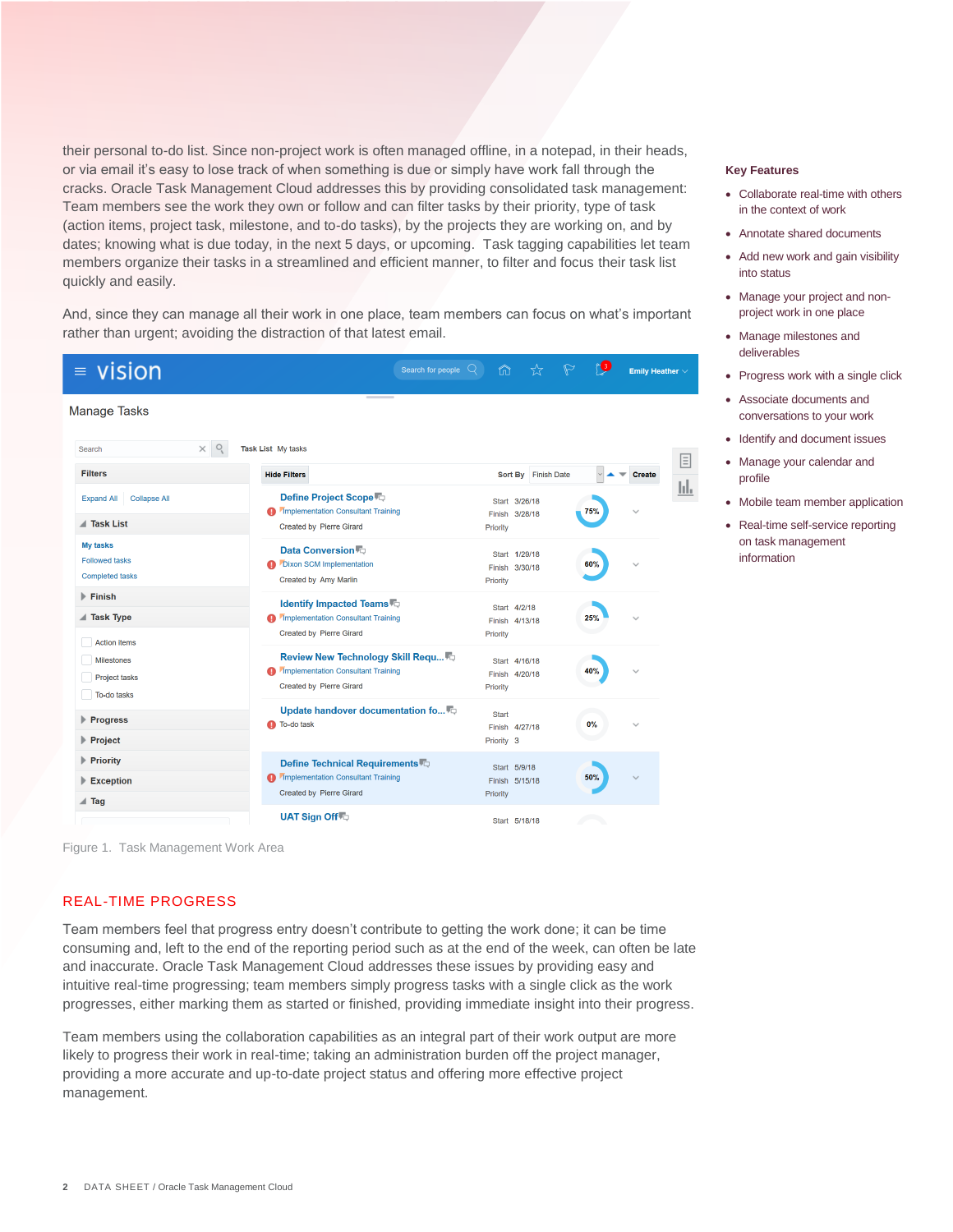their personal to-do list. Since non-project work is often managed offline, in a notepad, in their heads, or via email it's easy to lose track of when something is due or simply have work fall through the cracks. Oracle Task Management Cloud addresses this by providing consolidated task management: Team members see the work they own or follow and can filter tasks by their priority, type of task (action items, project task, milestone, and to-do tasks), by the projects they are working on, and by dates; knowing what is due today, in the next 5 days, or upcoming. Task tagging capabilities let team members organize their tasks in a streamlined and efficient manner, to filter and focus their task list quickly and easily.

And, since they can manage all their work in one place, team members can focus on what's important rather than urgent; avoiding the distraction of that latest email.

| vision<br>$\equiv$                                                              | Search for people $\mathbb Q$                                                                                     | $\triangleright$<br>⋒                        | re<br>Emily Heather $\vee$        |
|---------------------------------------------------------------------------------|-------------------------------------------------------------------------------------------------------------------|----------------------------------------------|-----------------------------------|
| <b>Manage Tasks</b>                                                             |                                                                                                                   |                                              |                                   |
| O<br>$\times$<br>Search                                                         | Task List My tasks                                                                                                |                                              |                                   |
| <b>Filters</b>                                                                  | <b>Hide Filters</b>                                                                                               | Sort By Finish Date                          | 圁<br><b>Create</b><br>$\vee$<br>╾ |
| <b>Collapse All</b><br><b>Expand All</b><br><b>Task List</b>                    | Define Project Scope <sup>1</sup><br><b>Implementation Consultant Training</b><br><b>Created by Pierre Girard</b> | Start 3/26/18<br>Finish 3/28/18<br>Priority  | ы.<br>75%                         |
| <b>My tasks</b><br><b>Followed tasks</b><br><b>Completed tasks</b>              | Data Conversion<br><b>Dixon SCM Implementation</b><br><b>Created by Amy Marlin</b>                                | Start 1/29/18<br>Finish 3/30/18<br>Priority  | 60%<br>$\checkmark$               |
| $\blacktriangleright$ Finish<br><b>■ Task Type</b>                              | <b>Identify Impacted Teams</b><br><b>Implementation Consultant Training</b><br><b>Created by Pierre Girard</b>    | Start 4/2/18<br>Finish 4/13/18<br>Priority   | 25%                               |
| <b>Action items</b><br><b>Milestones</b><br><b>Project tasks</b><br>To-do tasks | Review New Technology Skill Requ<br><b>Amplementation Consultant Training</b><br><b>Created by Pierre Girard</b>  | Start 4/16/18<br>Finish 4/20/18<br>Priority  | 40%                               |
| ▶ Progress<br>$\blacktriangleright$ Project                                     | Update handover documentation fo <sup>17</sup><br>To-do task                                                      | <b>Start</b><br>Finish 4/27/18<br>Priority 3 | 0%                                |
| <b>Priority</b><br>$\blacktriangleright$ Exception                              | Define Technical Requirements<br><b>A</b> Implementation Consultant Training<br><b>Created by Pierre Girard</b>   | Start 5/9/18<br>Finish 5/15/18<br>Priority   | 50%                               |
| $\triangle$ Tag                                                                 | UAT Sign Off                                                                                                      | Start 5/18/18                                |                                   |

Figure 1. Task Management Work Area

# REAL-TIME PROGRESS

Team members feel that progress entry doesn't contribute to getting the work done; it can be time consuming and, left to the end of the reporting period such as at the end of the week, can often be late and inaccurate. Oracle Task Management Cloud addresses these issues by providing easy and intuitive real-time progressing; team members simply progress tasks with a single click as the work progresses, either marking them as started or finished, providing immediate insight into their progress.

Team members using the collaboration capabilities as an integral part of their work output are more likely to progress their work in real-time; taking an administration burden off the project manager, providing a more accurate and up-to-date project status and offering more effective project management.

#### **Key Features**

- Collaborate real-time with others in the context of work
- Annotate shared documents
- Add new work and gain visibility into status
- Manage your project and nonproject work in one place
- Manage milestones and deliverables
- Progress work with a single click
- Associate documents and conversations to your work
- Identify and document issues
- Manage your calendar and profile
- Mobile team member application
- Real-time self-service reporting on task management information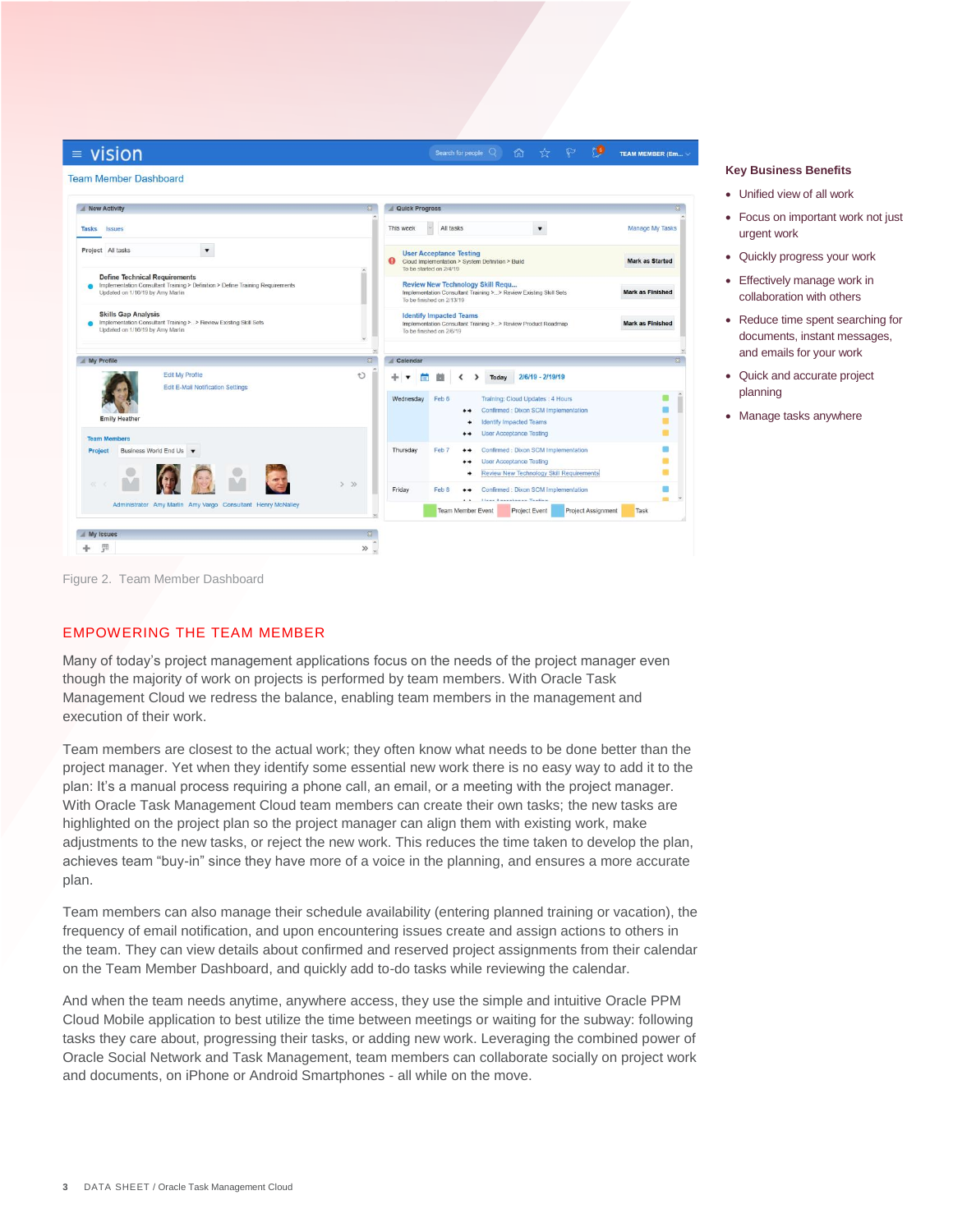| New Activity                                                                                                                                                                                                 |                         | Quick Progress                                                                                                                                                                                                                                                                                                                                                                                         |           |                          |                                                                  |                                                                                              |                         |
|--------------------------------------------------------------------------------------------------------------------------------------------------------------------------------------------------------------|-------------------------|--------------------------------------------------------------------------------------------------------------------------------------------------------------------------------------------------------------------------------------------------------------------------------------------------------------------------------------------------------------------------------------------------------|-----------|--------------------------|------------------------------------------------------------------|----------------------------------------------------------------------------------------------|-------------------------|
| Tasks Issues                                                                                                                                                                                                 |                         | This week                                                                                                                                                                                                                                                                                                                                                                                              | All tasks |                          |                                                                  | $\blacktriangledown$                                                                         | <b>Manage My Tasks</b>  |
| Project All tasks<br>$\blacktriangledown$<br><b>Define Technical Requirements</b><br>Implementation Consultant Training > Definition > Define Training Requirements<br>۰<br>Updated on 1/16/19 by Amy Marlin |                         | <b>User Acceptance Testing</b><br>$\mathbf o$<br>Cloud Implementation > System Definition > Build<br>To be started on 2/4/19<br><b>Review New Technology Skill Requ</b><br>Implementation Consultant Training >> Review Existing Skill Sets<br>To be finished on 2/13/19<br><b>Identify Impacted Teams</b><br>Implementation Consultant Training >> Review Product Roadmap<br>To be finished on 2/6/19 |           |                          |                                                                  |                                                                                              | <b>Mark as Started</b>  |
|                                                                                                                                                                                                              |                         |                                                                                                                                                                                                                                                                                                                                                                                                        |           |                          |                                                                  |                                                                                              | <b>Mark as Finished</b> |
| <b>Skills Gap Analysis</b><br>Implementation Consultant Training >> Review Existing Skill Sets<br>Updated on 1/16/19 by Amy Marlin                                                                           | <b>Mark as Finished</b> |                                                                                                                                                                                                                                                                                                                                                                                                        |           |                          |                                                                  |                                                                                              |                         |
| My Profile                                                                                                                                                                                                   | $^{22}$                 | Calendar                                                                                                                                                                                                                                                                                                                                                                                               |           |                          |                                                                  |                                                                                              |                         |
| Edit My Profile<br>Edit E-Mail Notification Settings                                                                                                                                                         | Ð                       | 亩<br>Wednesday                                                                                                                                                                                                                                                                                                                                                                                         | Feb 6     | Today<br>$^{++}$         |                                                                  | 2/6/19 - 2/19/19<br>Training: Cloud Updates: 4 Hours<br>Confirmed : Dixon SCM Implementation |                         |
| <b>Emily Heather</b><br><b>Team Members</b>                                                                                                                                                                  |                         |                                                                                                                                                                                                                                                                                                                                                                                                        |           | ۰<br>$^{\tiny{+ +}}$     | <b>Identify Impacted Teams</b><br><b>User Acceptance Testing</b> |                                                                                              |                         |
| Business World End Us<br><b>Project</b><br>M                                                                                                                                                                 |                         | Thursday                                                                                                                                                                                                                                                                                                                                                                                               | Feb 7     | $^{\tiny{+ +}}$<br><br>۰ | <b>User Acceptance Testing</b>                                   | Confirmed : Dixon SCM Implementation<br>Review New Technology Skill Requirements             |                         |
| Administrator Amy Marlin Amy Vargo Consultant Henry McNalley                                                                                                                                                 | $>$ $\gg$               | Friday                                                                                                                                                                                                                                                                                                                                                                                                 | Feb 8     | $^{\tiny{+ +}}$          | I have all a service in the same of the self-term                | Confirmed : Dixon SCM Implementation                                                         | $\sim$                  |

#### **Key Business Benefits**

- Unified view of all work
- Focus on important work not just urgent work
- Quickly progress your work
- Effectively manage work in collaboration with others
- Reduce time spent searching for documents, instant messages, and emails for your work
- Quick and accurate project planning
- Manage tasks anywhere

Figure 2. Team Member Dashboard

#### EMPOWERING THE TEAM MEMBER

Many of today's project management applications focus on the needs of the project manager even though the majority of work on projects is performed by team members. With Oracle Task Management Cloud we redress the balance, enabling team members in the management and execution of their work.

Team members are closest to the actual work; they often know what needs to be done better than the project manager. Yet when they identify some essential new work there is no easy way to add it to the plan: It's a manual process requiring a phone call, an email, or a meeting with the project manager. With Oracle Task Management Cloud team members can create their own tasks; the new tasks are highlighted on the project plan so the project manager can align them with existing work, make adjustments to the new tasks, or reject the new work. This reduces the time taken to develop the plan, achieves team "buy-in" since they have more of a voice in the planning, and ensures a more accurate plan.

Team members can also manage their schedule availability (entering planned training or vacation), the frequency of email notification, and upon encountering issues create and assign actions to others in the team. They can view details about confirmed and reserved project assignments from their calendar on the Team Member Dashboard, and quickly add to-do tasks while reviewing the calendar.

And when the team needs anytime, anywhere access, they use the simple and intuitive Oracle PPM Cloud Mobile application to best utilize the time between meetings or waiting for the subway: following tasks they care about, progressing their tasks, or adding new work. Leveraging the combined power of Oracle Social Network and Task Management, team members can collaborate socially on project work and documents, on iPhone or Android Smartphones - all while on the move.